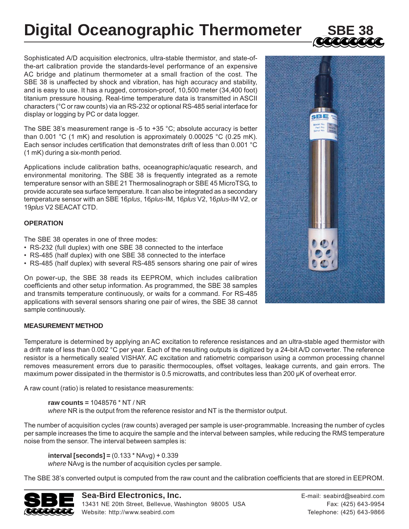# **Digital Oceanographic Thermometer**



Sophisticated A/D acquisition electronics, ultra-stable thermistor, and state-ofthe-art calibration provide the standards-level performance of an expensive AC bridge and platinum thermometer at a small fraction of the cost. The SBE 38 is unaffected by shock and vibration, has high accuracy and stability, and is easy to use. It has a rugged, corrosion-proof, 10,500 meter (34,400 foot) titanium pressure housing. Real-time temperature data is transmitted in ASCII characters (°C or raw counts) via an RS-232 or optional RS-485 serial interface for display or logging by PC or data logger.

The SBE 38's measurement range is -5 to +35  $^{\circ}$ C; absolute accuracy is better than 0.001 °C (1 mK) and resolution is approximately 0.00025 °C (0.25 mK). Each sensor includes certification that demonstrates drift of less than 0.001 °C (1 mK) during a six-month period.

Applications include calibration baths, oceanographic/aquatic research, and environmental monitoring. The SBE 38 is frequently integrated as a remote temperature sensor with an SBE 21 Thermosalinograph or SBE 45 MicroTSG, to provide accurate sea surface temperature. It can also be integrated as a secondary temperature sensor with an SBE 16*plus*, 16*plus*-IM, 16*plus* V2, 16*plus*-IM V2, or 19*plus* V2 SEACAT CTD.

### **OPERATION**

The SBE 38 operates in one of three modes:

- RS-232 (full duplex) with one SBE 38 connected to the interface
- RS-485 (half duplex) with one SBE 38 connected to the interface
- RS-485 (half duplex) with several RS-485 sensors sharing one pair of wires

On power-up, the SBE 38 reads its EEPROM, which includes calibration coefficients and other setup information. As programmed, the SBE 38 samples and transmits temperature continuously, or waits for a command. For RS-485 applications with several sensors sharing one pair of wires, the SBE 38 cannot sample continuously.

# **MEASUREMENT METHOD**

Temperature is determined by applying an AC excitation to reference resistances and an ultra-stable aged thermistor with a drift rate of less than 0.002 °C per year. Each of the resulting outputs is digitized by a 24-bit A/D converter. The reference resistor is a hermetically sealed VISHAY. AC excitation and ratiometric comparison using a common processing channel removes measurement errors due to parasitic thermocouples, offset voltages, leakage currents, and gain errors. The maximum power dissipated in the thermistor is 0.5 microwatts, and contributes less than 200 μK of overheat error.

A raw count (ratio) is related to resistance measurements:

**raw counts =** 1048576 \* NT / NR *where* NR is the output from the reference resistor and NT is the thermistor output.

The number of acquisition cycles (raw counts) averaged per sample is user-programmable. Increasing the number of cycles per sample increases the time to acquire the sample and the interval between samples, while reducing the RMS temperature noise from the sensor. The interval between samples is:

**interval [seconds] =** (0.133 \* NAvg) + 0.339 *where* NAvg is the number of acquisition cycles per sample.

The SBE 38's converted output is computed from the raw count and the calibration coefficients that are stored in EEPROM.